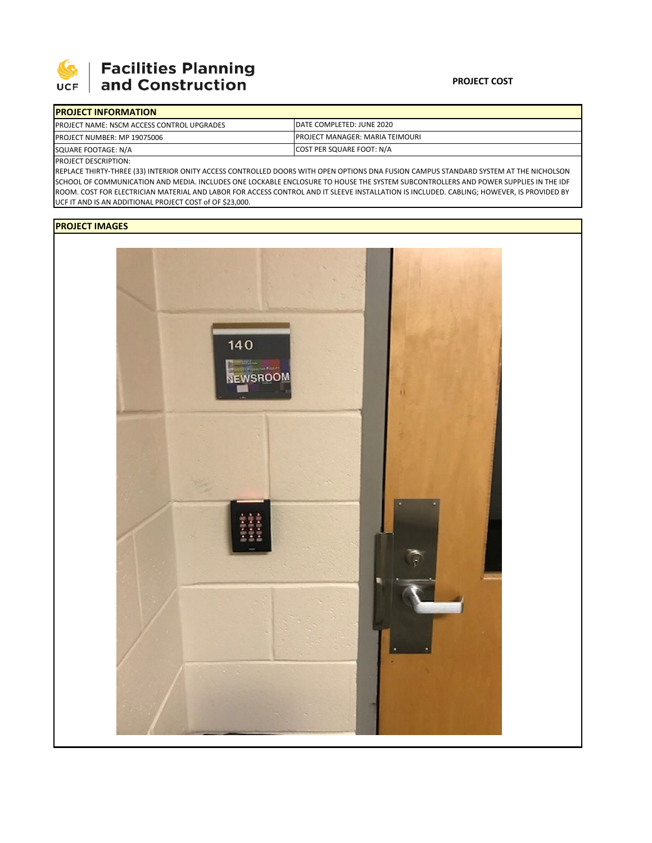

## | Facilities Planning<br>| and Construction

| <b>IPROJECT INFORMATION</b>                        |                                         |  |  |  |
|----------------------------------------------------|-----------------------------------------|--|--|--|
| <b>IPROJECT NAME: NSCM ACCESS CONTROL UPGRADES</b> | IDATE COMPLETED: JUNE 2020              |  |  |  |
| <b>PROJECT NUMBER: MP 19075006</b>                 | <b>IPROJECT MANAGER: MARIA TEIMOURI</b> |  |  |  |
| SQUARE FOOTAGE: N/A                                | COST PER SQUARE FOOT: N/A               |  |  |  |

PROJECT DESCRIPTION:

REPLACE THIRTY‐THREE (33) INTERIOR ONITY ACCESS CONTROLLED DOORS WITH OPEN OPTIONS DNA FUSION CAMPUS STANDARD SYSTEM AT THE NICHOLSON SCHOOL OF COMMUNICATION AND MEDIA. INCLUDES ONE LOCKABLE ENCLOSURE TO HOUSE THE SYSTEM SUBCONTROLLERS AND POWER SUPPLIES IN THE IDF ROOM. COST FOR ELECTRICIAN MATERIAL AND LABOR FOR ACCESS CONTROL AND IT SLEEVE INSTALLATION IS INCLUDED. CABLING; HOWEVER, IS PROVIDED BY UCF IT AND IS AN ADDITIONAL PROJECT COST of OF \$23,000.

## **PROJECT IMAGES**